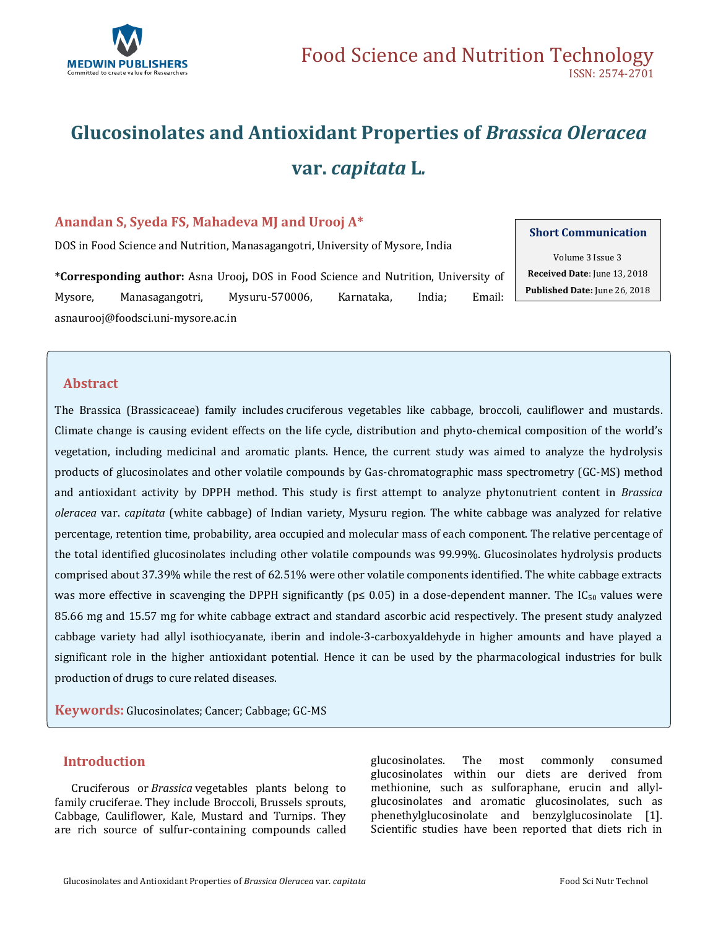

# **Glucosinolates and Antioxidant Properties of** *Brassica Oleracea*  **var.** *capitata* **L***.*

# **Anandan S, Syeda FS, Mahadeva MJ and Urooj A\***

DOS in Food Science and Nutrition, Manasagangotri, University of Mysore, India

**\*Corresponding author:** Asna Urooj**,** DOS in Food Science and Nutrition, University of Mysore, Manasagangotri, Mysuru-570006, Karnataka, India; Email: [asnaurooj@foodsci.uni-mysore.ac.in](mailto:asnaurooj@foodsci.uni-mysore.ac.in)

#### **Short Communication**

Volume 3 Issue 3 **Received Date**: June 13, 2018 **Published Date:** June 26, 2018

# **Abstract**

The Brassica (Brassicaceae) family includes cruciferous vegetables like cabbage, broccoli, cauliflower and mustards. Climate change is causing evident effects on the life cycle, distribution and phyto-chemical composition of the world's vegetation, including medicinal and aromatic plants. Hence, the current study was aimed to analyze the hydrolysis products of glucosinolates and other volatile compounds by Gas-chromatographic mass spectrometry (GC-MS) method and antioxidant activity by DPPH method. This study is first attempt to analyze phytonutrient content in *Brassica oleracea* var. *capitata* (white cabbage) of Indian variety, Mysuru region. The white cabbage was analyzed for relative percentage, retention time, probability, area occupied and molecular mass of each component. The relative percentage of the total identified glucosinolates including other volatile compounds was 99.99%. Glucosinolates hydrolysis products comprised about 37.39% while the rest of 62.51% were other volatile components identified. The white cabbage extracts was more effective in scavenging the DPPH significantly ( $p \le 0.05$ ) in a dose-dependent manner. The IC<sub>50</sub> values were 85.66 mg and 15.57 mg for white cabbage extract and standard ascorbic acid respectively. The present study analyzed cabbage variety had allyl isothiocyanate, iberin and indole-3-carboxyaldehyde in higher amounts and have played a significant role in the higher antioxidant potential. Hence it can be used by the pharmacological industries for bulk production of drugs to cure related diseases.

**Keywords:** Glucosinolates; Cancer; Cabbage; GC-MS

## **Introduction**

Cruciferous or *Brassica* vegetables plants belong to family cruciferae. They include Broccoli, Brussels sprouts, Cabbage, Cauliflower, Kale, Mustard and Turnips. They are rich source of sulfur-containing compounds called glucosinolates. The most commonly consumed glucosinolates within our diets are derived from methionine, such as sulforaphane, erucin and allylglucosinolates and aromatic glucosinolates, such as phenethylglucosinolate and benzylglucosinolate [1]. Scientific studies have been reported that diets rich in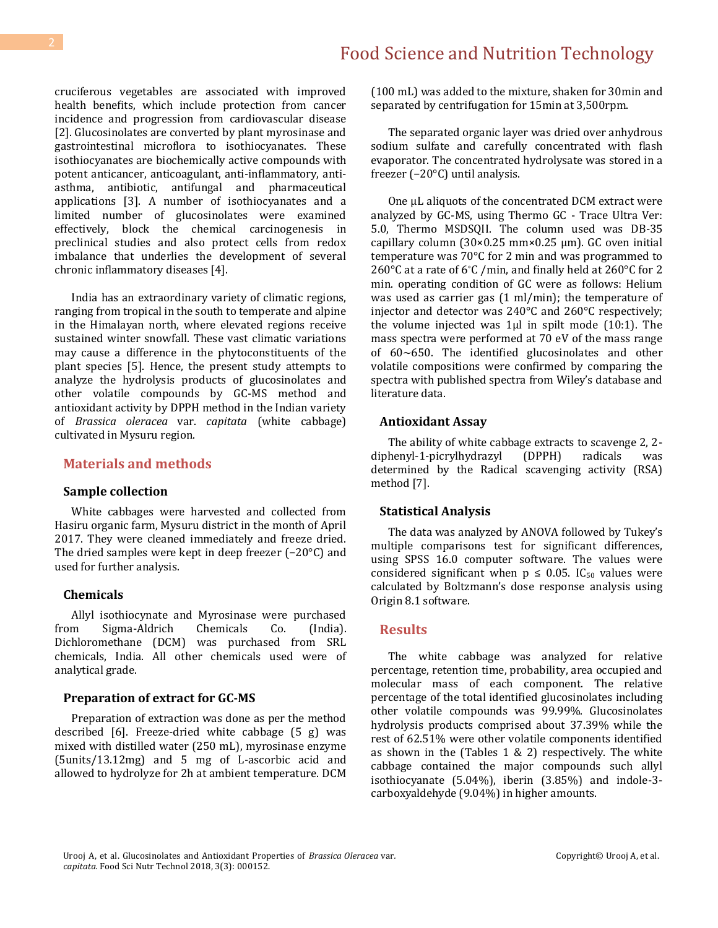cruciferous vegetables are associated with improved health benefits, which include protection from cancer incidence and progression from cardiovascular disease [2]. Glucosinolates are converted by plant myrosinase and gastrointestinal microflora to isothiocyanates. These isothiocyanates are biochemically active compounds with potent anticancer, anticoagulant, anti-inflammatory, antiasthma, antibiotic, antifungal and pharmaceutical applications [3]. A number of isothiocyanates and a limited number of glucosinolates were examined effectively, block the chemical carcinogenesis in preclinical studies and also protect cells from redox imbalance that underlies the development of several chronic inflammatory diseases [4].

India has an extraordinary variety of climatic regions, ranging from tropical in the south to temperate and alpine in the Himalayan north, where elevated regions receive sustained winter snowfall. These vast climatic variations may cause a difference in the phytoconstituents of the plant species [5]. Hence, the present study attempts to analyze the hydrolysis products of glucosinolates and other volatile compounds by GC-MS method and antioxidant activity by DPPH method in the Indian variety of *Brassica oleracea* var. *capitata* (white cabbage) cultivated in Mysuru region.

#### **Materials and methods**

#### **Sample collection**

White cabbages were harvested and collected from Hasiru organic farm, Mysuru district in the month of April 2017. They were cleaned immediately and freeze dried. The dried samples were kept in deep freezer (−20°C) and used for further analysis.

#### **Chemicals**

Allyl isothiocynate and Myrosinase were purchased from Sigma-Aldrich Chemicals Co. (India). Dichloromethane (DCM) was purchased from SRL chemicals, India. All other chemicals used were of analytical grade.

#### **Preparation of extract for GC-MS**

Preparation of extraction was done as per the method described [6]. Freeze-dried white cabbage (5 g) was mixed with distilled water (250 mL), myrosinase enzyme (5units/13.12mg) and 5 mg of L-ascorbic acid and allowed to hydrolyze for 2h at ambient temperature. DCM

(100 mL) was added to the mixture, shaken for 30min and separated by centrifugation for 15min at 3,500rpm.

The separated organic layer was dried over anhydrous sodium sulfate and carefully concentrated with flash evaporator. The concentrated hydrolysate was stored in a freezer (−20°C) until analysis.

One μL aliquots of the concentrated DCM extract were analyzed by GC-MS, using Thermo GC - Trace Ultra Ver: 5.0, Thermo MSDSQII. The column used was DB-35 capillary column (30×0.25 mm×0.25 μm). GC oven initial temperature was 70°C for 2 min and was programmed to 260°C at a rate of 6°C /min, and finally held at 260°C for 2 min. operating condition of GC were as follows: Helium was used as carrier gas (1 ml/min); the temperature of injector and detector was 240°C and 260°C respectively; the volume injected was 1µl in spilt mode (10:1). The mass spectra were performed at 70 eV of the mass range of 60∼650. The identified glucosinolates and other volatile compositions were confirmed by comparing the spectra with published spectra from Wiley's database and literature data.

#### **Antioxidant Assay**

The ability of white cabbage extracts to scavenge 2, 2 diphenyl-1-picrylhydrazyl (DPPH) radicals was determined by the Radical scavenging activity (RSA) method [7].

#### **Statistical Analysis**

The data was analyzed by ANOVA followed by Tukey's multiple comparisons test for significant differences, using SPSS 16.0 computer software. The values were considered significant when  $p \le 0.05$ . IC<sub>50</sub> values were calculated by Boltzmann's dose response analysis using Origin 8.1 software.

#### **Results**

The white cabbage was analyzed for relative percentage, retention time, probability, area occupied and molecular mass of each component. The relative percentage of the total identified glucosinolates including other volatile compounds was 99.99%. Glucosinolates hydrolysis products comprised about 37.39% while the rest of 62.51% were other volatile components identified as shown in the (Tables 1 & 2) respectively. The white cabbage contained the major compounds such allyl isothiocyanate (5.04%), iberin (3.85%) and indole-3 carboxyaldehyde (9.04%) in higher amounts.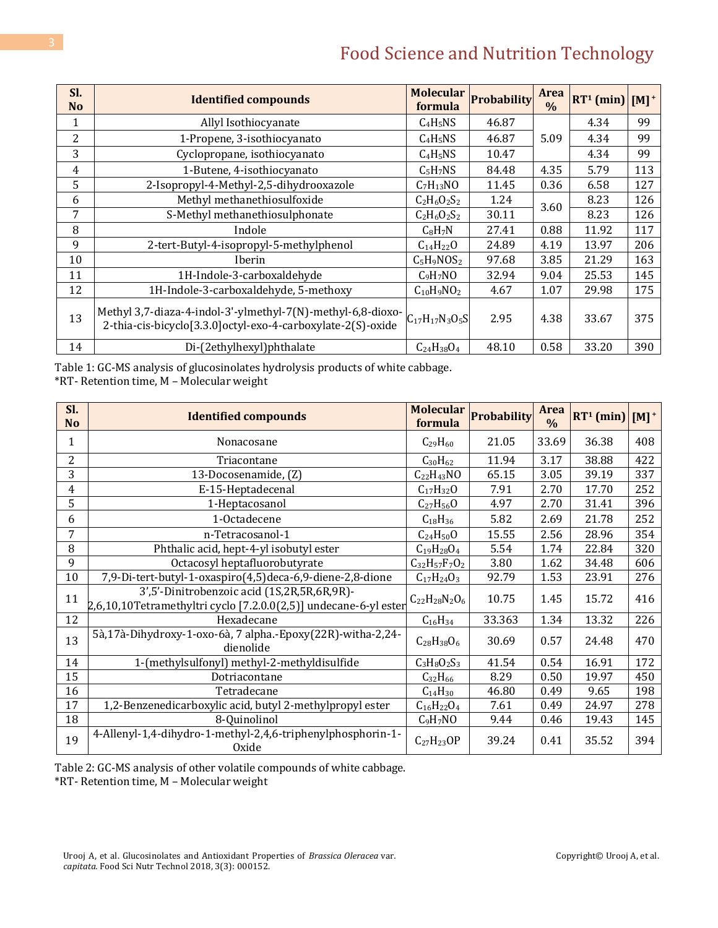# Food Science and Nutrition Technology

| Sl.<br>N <sub>o</sub> | <b>Identified compounds</b>                                                                                                | <b>Molecular</b><br>formula | <b>Probability</b> | Area<br>$\frac{0}{0}$ | $RT1$ (min) | $[M]$ <sup>+</sup> |
|-----------------------|----------------------------------------------------------------------------------------------------------------------------|-----------------------------|--------------------|-----------------------|-------------|--------------------|
| 1                     | Allyl Isothiocyanate                                                                                                       | $C_4H_5NS$                  | 46.87              |                       | 4.34        | 99                 |
| 2                     | 1-Propene, 3-isothiocyanato                                                                                                | $C_4H_5NS$                  | 46.87              | 5.09                  | 4.34        | 99                 |
| 3                     | Cyclopropane, isothiocyanato                                                                                               | $C_4H_5NS$                  | 10.47              |                       | 4.34        | 99                 |
| 4                     | 1-Butene, 4-isothiocyanato                                                                                                 | $C_5H_7NS$                  | 84.48              | 4.35                  | 5.79        | 113                |
| 5                     | 2-Isopropyl-4-Methyl-2,5-dihydrooxazole                                                                                    | $C_7H_{13}NO$               | 11.45              | 0.36                  | 6.58        | 127                |
| 6                     | Methyl methanethiosulfoxide                                                                                                | $C_2H_6O_2S_2$              | 1.24               | 3.60                  | 8.23        | 126                |
| 7                     | S-Methyl methanethiosulphonate                                                                                             | $C_2H_6O_2S_2$              | 30.11              |                       | 8.23        | 126                |
| 8                     | Indole                                                                                                                     | $C_8H_7N$                   | 27.41              | 0.88                  | 11.92       | 117                |
| 9                     | 2-tert-Butyl-4-isopropyl-5-methylphenol                                                                                    | $C_{14}H_{22}O$             | 24.89              | 4.19                  | 13.97       | 206                |
| 10                    | Iberin                                                                                                                     | $C_5H_9NOS_2$               | 97.68              | 3.85                  | 21.29       | 163                |
| 11                    | 1H-Indole-3-carboxaldehyde                                                                                                 | $C_9H_7NO$                  | 32.94              | 9.04                  | 25.53       | 145                |
| 12                    | 1H-Indole-3-carboxaldehyde, 5-methoxy                                                                                      | $C_{10}H_9NO_2$             | 4.67               | 1.07                  | 29.98       | 175                |
| 13                    | Methyl 3,7-diaza-4-indol-3'-ylmethyl-7(N)-methyl-6,8-dioxo-<br>2-thia-cis-bicyclo[3.3.0]octyl-exo-4-carboxylate-2(S)-oxide | $C_{17}H_{17}N_3O_5S$       | 2.95               | 4.38                  | 33.67       | 375                |
| 14                    | Di-(2ethylhexyl)phthalate                                                                                                  | $C_{24}H_{38}O_4$           | 48.10              | 0.58                  | 33.20       | 390                |

Table 1: GC-MS analysis of glucosinolates hydrolysis products of white cabbage. \*RT- Retention time, M – Molecular weight

| Sl.<br>N <sub>o</sub> | <b>Identified compounds</b>                                                                                     | <b>Molecular</b><br>formula | <b>Probability</b> | <b>Area</b><br>$\frac{0}{0}$ | $RT^1$ (min) $[M]^+$ |     |
|-----------------------|-----------------------------------------------------------------------------------------------------------------|-----------------------------|--------------------|------------------------------|----------------------|-----|
| 1                     | Nonacosane                                                                                                      | $C_{29}H_{60}$              | 21.05              | 33.69                        | 36.38                | 408 |
| $\overline{2}$        | Triacontane                                                                                                     | $C_{30}H_{62}$              | 11.94              | 3.17                         | 38.88                | 422 |
| 3                     | 13-Docosenamide, (Z)                                                                                            | $C_{22}H_{43}NO$            | 65.15              | 3.05                         | 39.19                | 337 |
| $\overline{4}$        | E-15-Heptadecenal                                                                                               | $C_{17}H_{32}O$             | 7.91               | 2.70                         | 17.70                | 252 |
| 5                     | 1-Heptacosanol                                                                                                  | $C_{27}H_{56}O$             | 4.97               | 2.70                         | 31.41                | 396 |
| 6                     | 1-Octadecene                                                                                                    | $C_{18}H_{36}$              | 5.82               | 2.69                         | 21.78                | 252 |
| 7                     | n-Tetracosanol-1                                                                                                | $C_{24}H_{50}O$             | 15.55              | 2.56                         | 28.96                | 354 |
| 8                     | Phthalic acid, hept-4-yl isobutyl ester                                                                         | $C_{19}H_{28}O_4$           | 5.54               | 1.74                         | 22.84                | 320 |
| 9                     | Octacosyl heptafluorobutyrate                                                                                   | $C_{32}H_{57}F_7O_2$        | 3.80               | 1.62                         | 34.48                | 606 |
| 10                    | 7,9-Di-tert-butyl-1-oxaspiro(4,5)deca-6,9-diene-2,8-dione                                                       | $C_{17}H_{24}O_3$           | 92.79              | 1.53                         | 23.91                | 276 |
| 11                    | 3',5'-Dinitrobenzoic acid (1S,2R,5R,6R,9R)-<br>2,6,10,10Tetramethyltri cyclo [7.2.0.0(2,5)] undecane-6-yl ester | $C_{22}H_{28}N_{2}O_{6}$    | 10.75              | 1.45                         | 15.72                | 416 |
| 12                    | Hexadecane                                                                                                      | $C_{16}H_{34}$              | 33.363             | 1.34                         | 13.32                | 226 |
| 13                    | 5à,17à-Dihydroxy-1-oxo-6à, 7 alpha.-Epoxy(22R)-witha-2,24-<br>dienolide                                         | $C_{28}H_{38}O_6$           | 30.69              | 0.57                         | 24.48                | 470 |
| 14                    | 1-(methylsulfonyl) methyl-2-methyldisulfide                                                                     | $C_3H_8O_2S_3$              | 41.54              | 0.54                         | 16.91                | 172 |
| 15                    | Dotriacontane                                                                                                   | $C_{32}H_{66}$              | 8.29               | 0.50                         | 19.97                | 450 |
| 16                    | Tetradecane                                                                                                     | $C_{14}H_{30}$              | 46.80              | 0.49                         | 9.65                 | 198 |
| 17                    | 1,2-Benzenedicarboxylic acid, butyl 2-methylpropyl ester                                                        | $C_{16}H_{22}O_4$           | 7.61               | 0.49                         | 24.97                | 278 |
| 18                    | 8-Quinolinol                                                                                                    | $C_9H_7NO$                  | 9.44               | 0.46                         | 19.43                | 145 |
| 19                    | 4-Allenyl-1,4-dihydro-1-methyl-2,4,6-triphenylphosphorin-1-<br>Oxide                                            | $C_{27}H_{23}OP$            | 39.24              | 0.41                         | 35.52                | 394 |

Table 2: GC-MS analysis of other volatile compounds of white cabbage.

\*RT- Retention time, M – Molecular weight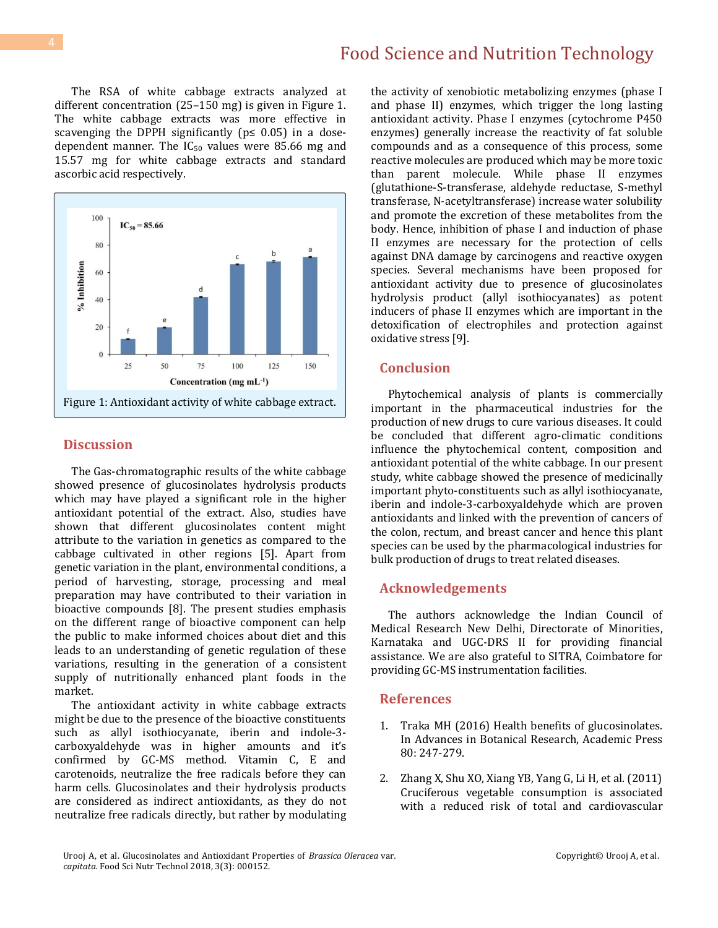The RSA of white cabbage extracts analyzed at different concentration (25–150 mg) is given in Figure 1. The white cabbage extracts was more effective in scavenging the DPPH significantly ( $p \le 0.05$ ) in a dosedependent manner. The  $IC_{50}$  values were 85.66 mg and 15.57 mg for white cabbage extracts and standard ascorbic acid respectively.



#### **Discussion**

The Gas-chromatographic results of the white cabbage showed presence of glucosinolates hydrolysis products which may have played a significant role in the higher antioxidant potential of the extract. Also, studies have shown that different glucosinolates content might attribute to the variation in genetics as compared to the cabbage cultivated in other regions [5]. Apart from genetic variation in the plant, environmental conditions, a period of harvesting, storage, processing and meal preparation may have contributed to their variation in bioactive compounds [8]. The present studies emphasis on the different range of bioactive component can help the public to make informed choices about diet and this leads to an understanding of genetic regulation of these variations, resulting in the generation of a consistent supply of nutritionally enhanced plant foods in the market.

The antioxidant activity in white cabbage extracts might be due to the presence of the bioactive constituents such as allyl isothiocyanate, iberin and indole-3 carboxyaldehyde was in higher amounts and it's confirmed by GC-MS method. Vitamin C, E and carotenoids, neutralize the free radicals before they can harm cells. Glucosinolates and their hydrolysis products are considered as indirect antioxidants, as they do not neutralize free radicals directly, but rather by modulating the activity of xenobiotic metabolizing enzymes (phase I and phase II) enzymes, which trigger the long lasting antioxidant activity. Phase I enzymes (cytochrome P450 enzymes) generally increase the reactivity of fat soluble compounds and as a consequence of this process, some reactive molecules are produced which may be more toxic than parent molecule. While phase II enzymes (glutathione-S-transferase, aldehyde reductase, S-methyl transferase, N-acetyltransferase) increase water solubility and promote the excretion of these metabolites from the body. Hence, inhibition of phase I and induction of phase II enzymes are necessary for the protection of cells against DNA damage by carcinogens and reactive oxygen species. Several mechanisms have been proposed for antioxidant activity due to presence of glucosinolates hydrolysis product (allyl isothiocyanates) as potent inducers of phase II enzymes which are important in the detoxification of electrophiles and protection against oxidative stress [9].

#### **Conclusion**

Phytochemical analysis of plants is commercially important in the pharmaceutical industries for the production of new drugs to cure various diseases. It could be concluded that different agro-climatic conditions influence the phytochemical content, composition and antioxidant potential of the white cabbage. In our present study, white cabbage showed the presence of medicinally important phyto-constituents such as allyl isothiocyanate, iberin and indole-3-carboxyaldehyde which are proven antioxidants and linked with the prevention of cancers of the colon, rectum, and breast cancer and hence this plant species can be used by the pharmacological industries for bulk production of drugs to treat related diseases.

### **Acknowledgements**

The authors acknowledge the Indian Council of Medical Research New Delhi, Directorate of Minorities, Karnataka and UGC-DRS II for providing financial assistance. We are also grateful to SITRA, Coimbatore for providing GC-MS instrumentation facilities.

#### **References**

- 1. Traka MH (2016) Health benefits of glucosinolates. In Advances in Botanical Research, Academic Press 80: 247-279.
- 2. [Zhang X, Shu XO, Xiang YB, Yang G, Li H, et al. \(2011\)](https://www.ncbi.nlm.nih.gov/pubmed/21593509)  [Cruciferous vegetable consumption is associated](https://www.ncbi.nlm.nih.gov/pubmed/21593509)  [with a reduced risk of total and cardiovascular](https://www.ncbi.nlm.nih.gov/pubmed/21593509)